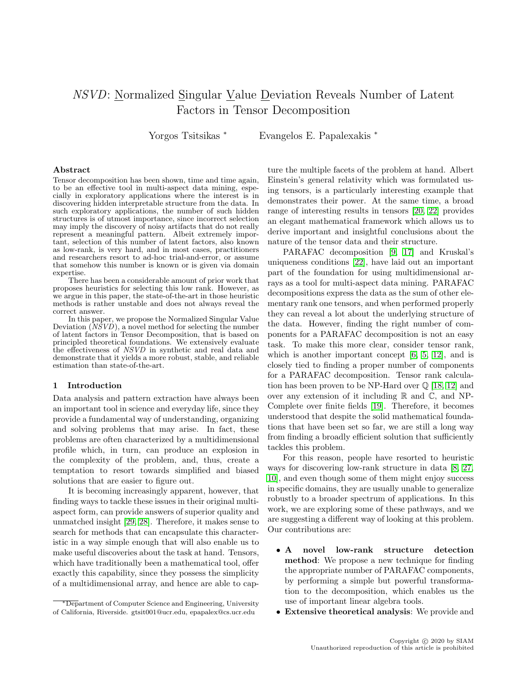# NSVD: Normalized Singular Value Deviation Reveals Number of Latent Factors in Tensor Decomposition

Yorgos Tsitsikas <sup>∗</sup> Evangelos E. Papalexakis <sup>∗</sup>

### Abstract

Tensor decomposition has been shown, time and time again, to be an effective tool in multi-aspect data mining, especially in exploratory applications where the interest is in discovering hidden interpretable structure from the data. In such exploratory applications, the number of such hidden structures is of utmost importance, since incorrect selection may imply the discovery of noisy artifacts that do not really represent a meaningful pattern. Albeit extremely important, selection of this number of latent factors, also known as low-rank, is very hard, and in most cases, practitioners and researchers resort to ad-hoc trial-and-error, or assume that somehow this number is known or is given via domain expertise.

There has been a considerable amount of prior work that proposes heuristics for selecting this low rank. However, as we argue in this paper, the state-of-the-art in those heuristic methods is rather unstable and does not always reveal the correct answer.

In this paper, we propose the Normalized Singular Value Deviation  $(N\hat{S}V\hat{D})$ , a novel method for selecting the number of latent factors in Tensor Decomposition, that is based on principled theoretical foundations. We extensively evaluate the effectiveness of NSVD in synthetic and real data and demonstrate that it yields a more robust, stable, and reliable estimation than state-of-the-art.

#### 1 Introduction

Data analysis and pattern extraction have always been an important tool in science and everyday life, since they provide a fundamental way of understanding, organizing and solving problems that may arise. In fact, these problems are often characterized by a multidimensional profile which, in turn, can produce an explosion in the complexity of the problem, and, thus, create a temptation to resort towards simplified and biased solutions that are easier to figure out.

It is becoming increasingly apparent, however, that finding ways to tackle these issues in their original multiaspect form, can provide answers of superior quality and unmatched insight [\[29,](#page-8-0) [28\]](#page-8-1). Therefore, it makes sense to search for methods that can encapsulate this characteristic in a way simple enough that will also enable us to make useful discoveries about the task at hand. Tensors, which have traditionally been a mathematical tool, offer exactly this capability, since they possess the simplicity of a multidimensional array, and hence are able to cap-

ture the multiple facets of the problem at hand. Albert Einstein's general relativity which was formulated using tensors, is a particularly interesting example that demonstrates their power. At the same time, a broad range of interesting results in tensors [\[20,](#page-8-2) [22\]](#page-8-3) provides an elegant mathematical framework which allows us to derive important and insightful conclusions about the nature of the tensor data and their structure.

PARAFAC decomposition [\[9,](#page-8-4) [17\]](#page-8-5) and Kruskal's uniqueness conditions [\[22\]](#page-8-3), have laid out an important part of the foundation for using multidimensional arrays as a tool for multi-aspect data mining. PARAFAC decompositions express the data as the sum of other elementary rank one tensors, and when performed properly they can reveal a lot about the underlying structure of the data. However, finding the right number of components for a PARAFAC decomposition is not an easy task. To make this more clear, consider tensor rank, which is another important concept  $[6, 5, 12]$  $[6, 5, 12]$  $[6, 5, 12]$ , and is closely tied to finding a proper number of components for a PARAFAC decomposition. Tensor rank calculation has been proven to be NP-Hard over  $\mathbb Q$  [\[18,](#page-8-9) [12\]](#page-8-8) and over any extension of it including  $\mathbb R$  and  $\mathbb C$ , and NP-Complete over finite fields [\[19\]](#page-8-10). Therefore, it becomes understood that despite the solid mathematical foundations that have been set so far, we are still a long way from finding a broadly efficient solution that sufficiently tackles this problem.

For this reason, people have resorted to heuristic ways for discovering low-rank structure in data [\[8,](#page-8-11) [27,](#page-8-12) [10\]](#page-8-13), and even though some of them might enjoy success in specific domains, they are usually unable to generalize robustly to a broader spectrum of applications. In this work, we are exploring some of these pathways, and we are suggesting a different way of looking at this problem. Our contributions are:

- A novel low-rank structure detection method: We propose a new technique for finding the appropriate number of PARAFAC components, by performing a simple but powerful transformation to the decomposition, which enables us the use of important linear algebra tools.
- Extensive theoretical analysis: We provide and

<sup>∗</sup>Department of Computer Science and Engineering, University of California, Riverside. gtsit001@ucr.edu, epapalex@cs.ucr.edu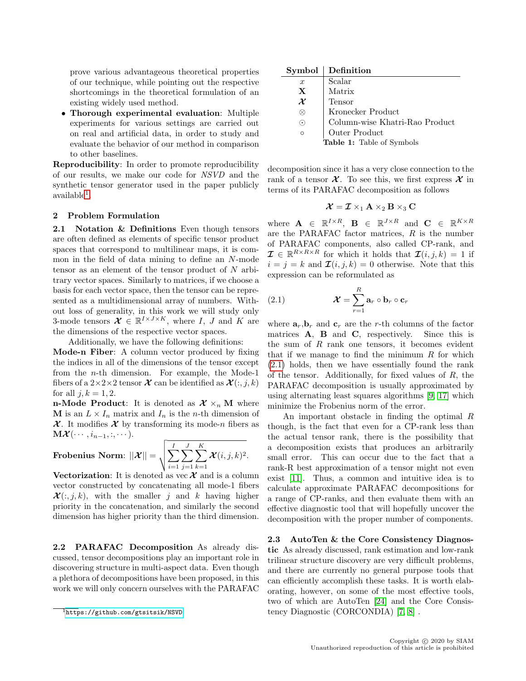prove various advantageous theoretical properties of our technique, while pointing out the respective shortcomings in the theoretical formulation of an existing widely used method.

• Thorough experimental evaluation: Multiple experiments for various settings are carried out on real and artificial data, in order to study and evaluate the behavior of our method in comparison to other baselines.

Reproducibility: In order to promote reproducibility of our results, we make our code for NSVD and the synthetic tensor generator used in the paper publicly  $a$ vailable<sup>[1](#page-1-0)</sup>.

## 2 Problem Formulation

2.1 Notation & Definitions Even though tensors are often defined as elements of specific tensor product spaces that correspond to multilinear maps, it is common in the field of data mining to define an N-mode tensor as an element of the tensor product of  $N$  arbitrary vector spaces. Similarly to matrices, if we choose a basis for each vector space, then the tensor can be represented as a multidimensional array of numbers. Without loss of generality, in this work we will study only 3-mode tensors  $\mathcal{X} \in \mathbb{R}^{I \times J \times K}$ , where I, J and K are the dimensions of the respective vector spaces.

Additionally, we have the following definitions: Mode-n Fiber: A column vector produced by fixing the indices in all of the dimensions of the tensor except from the n-th dimension. For example, the Mode-1 fibers of a  $2\times 2\times 2$  tensor  $\mathcal X$  can be identified as  $\mathcal X(:,j,k)$ for all  $j, k = 1, 2$ .

**n-Mode Product**: It is denoted as  $\mathcal{X} \times_n \mathbf{M}$  where M is an  $L \times I_n$  matrix and  $I_n$  is the *n*-th dimension of  $\mathcal X$ . It modifies  $\mathcal X$  by transforming its mode-n fibers as  $\mathbf{M}\boldsymbol{\mathcal{X}}(\cdots,i_{n-1},:,\cdots).$ 

**Frobenius Norm:** 
$$
||\boldsymbol{\mathcal{X}}|| = \sqrt{\sum_{i=1}^{I} \sum_{j=1}^{J} \sum_{k=1}^{K} \boldsymbol{\mathcal{X}}(i, j, k)^2}
$$
.

Vectorization: It is denoted as vec  $\mathcal X$  and is a column vector constructed by concatenating all mode-1 fibers  $\mathcal{X}(:,j,k)$ , with the smaller j and k having higher priority in the concatenation, and similarly the second dimension has higher priority than the third dimension.

2.2 PARAFAC Decomposition As already discussed, tensor decompositions play an important role in discovering structure in multi-aspect data. Even though a plethora of decompositions have been proposed, in this work we will only concern ourselves with the PARAFAC

| Symbol           | Definition                     |
|------------------|--------------------------------|
| $\boldsymbol{x}$ | Scalar                         |
| $\mathbf X$      | Matrix                         |
| $\mathcal X$     | Tensor                         |
|                  | Kronecker Product              |
| $\odot$          | Column-wise Khatri-Rao Product |
| O                | Outer $\operatorname{Product}$ |
|                  | Table 1: Table of Symbols      |

decomposition since it has a very close connection to the rank of a tensor  $\mathcal X$ . To see this, we first express  $\mathcal X$  in terms of its PARAFAC decomposition as follows

$$
\boldsymbol{\mathcal{X}} = \boldsymbol{\mathcal{I}} \times_1 \mathbf{A} \times_2 \mathbf{B} \times_3 \mathbf{C}
$$

where  $\mathbf{A} \in \mathbb{R}^{I \times R}$ ,  $\mathbf{B} \in \mathbb{R}^{J \times R}$  and  $\mathbf{C} \in \mathbb{R}^{K \times R}$ are the PARAFAC factor matrices, R is the number of PARAFAC components, also called CP-rank, and  $\mathcal{I} \in \mathbb{R}^{R \times R \times R}$  for which it holds that  $\mathcal{I}(i, j, k) = 1$  if  $i = j = k$  and  $\mathcal{I}(i, j, k) = 0$  otherwise. Note that this expression can be reformulated as

<span id="page-1-1"></span>(2.1) 
$$
\mathbf{\mathcal{X}} = \sum_{r=1}^{R} \mathbf{a}_r \circ \mathbf{b}_r \circ \mathbf{c}_r
$$

where  $\mathbf{a}_r, \mathbf{b}_r$  and  $\mathbf{c}_r$  are the r-th columns of the factor matrices  $A$ ,  $B$  and  $C$ , respectively. Since this is the sum of  $R$  rank one tensors, it becomes evident that if we manage to find the minimum  $R$  for which [\(2.1\)](#page-1-1) holds, then we have essentially found the rank of the tensor. Additionally, for fixed values of  $R$ , the PARAFAC decomposition is usually approximated by using alternating least squares algorithms [\[9,](#page-8-4) [17\]](#page-8-5) which minimize the Frobenius norm of the error.

An important obstacle in finding the optimal R though, is the fact that even for a CP-rank less than the actual tensor rank, there is the possibility that a decomposition exists that produces an arbitrarily small error. This can occur due to the fact that a rank-R best approximation of a tensor might not even exist [\[11\]](#page-8-14). Thus, a common and intuitive idea is to calculate approximate PARAFAC decompositions for a range of CP-ranks, and then evaluate them with an effective diagnostic tool that will hopefully uncover the decomposition with the proper number of components.

<span id="page-1-2"></span>2.3 AutoTen & the Core Consistency Diagnostic As already discussed, rank estimation and low-rank trilinear structure discovery are very difficult problems, and there are currently no general purpose tools that can efficiently accomplish these tasks. It is worth elaborating, however, on some of the most effective tools, two of which are AutoTen [\[24\]](#page-8-15) and the Core Consistency Diagnostic (CORCONDIA) [\[7,](#page-8-16) [8\]](#page-8-11) .

<span id="page-1-0"></span> $\overline{1_{\text{https://github.com/gtsitsik/NSVD}}}$  $\overline{1_{\text{https://github.com/gtsitsik/NSVD}}}$  $\overline{1_{\text{https://github.com/gtsitsik/NSVD}}}$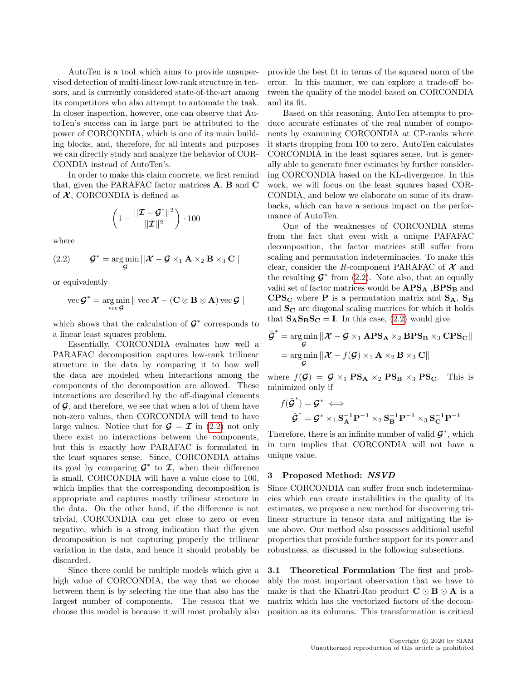AutoTen is a tool which aims to provide unsupervised detection of multi-linear low-rank structure in tensors, and is currently considered state-of-the-art among its competitors who also attempt to automate the task. In closer inspection, however, one can observe that AutoTen's success can in large part be attributed to the power of CORCONDIA, which is one of its main building blocks, and, therefore, for all intents and purposes we can directly study and analyze the behavior of COR-CONDIA instead of AutoTen's.

In order to make this claim concrete, we first remind that, given the PARAFAC factor matrices A, B and C of  $X$ , CORCONDIA is defined as

$$
\left(1 - \frac{||\boldsymbol{\mathcal{I}} - \boldsymbol{\mathcal{G}}^*||^2}{||\boldsymbol{\mathcal{I}}||^2}\right) \cdot 100
$$

where

<span id="page-2-0"></span>(2.2) 
$$
\mathcal{G}^* = \underset{\mathcal{G}}{\arg \min} ||\mathcal{X} - \mathcal{G} \times_1 \mathbf{A} \times_2 \mathbf{B} \times_3 \mathbf{C}||
$$

or equivalently

$$
\text{vec } \mathcal{G}^* = \argmin_{\text{vec } \mathcal{G}} || \text{vec } \mathcal{X} - (\mathbf{C} \otimes \mathbf{B} \otimes \mathbf{A}) \text{vec } \mathcal{G} ||
$$

which shows that the calculation of  $\mathcal{G}^*$  corresponds to a linear least squares problem.

Essentially, CORCONDIA evaluates how well a PARAFAC decomposition captures low-rank trilinear structure in the data by comparing it to how well the data are modeled when interactions among the components of the decomposition are allowed. These interactions are described by the off-diagonal elements of  $\mathcal{G}$ , and therefore, we see that when a lot of them have non-zero values, then CORCONDIA will tend to have large values. Notice that for  $\mathcal{G} = \mathcal{I}$  in [\(2.2\)](#page-2-0) not only there exist no interactions between the components, but this is exactly how PARAFAC is formulated in the least squares sense. Since, CORCONDIA attains its goal by comparing  $\mathcal{G}^*$  to  $\mathcal{I}$ , when their difference is small, CORCONDIA will have a value close to 100, which implies that the corresponding decomposition is appropriate and captures mostly trilinear structure in the data. On the other hand, if the difference is not trivial, CORCONDIA can get close to zero or even negative, which is a strong indication that the given decomposition is not capturing properly the trilinear variation in the data, and hence it should probably be discarded.

Since there could be multiple models which give a high value of CORCONDIA, the way that we choose between them is by selecting the one that also has the largest number of components. The reason that we choose this model is because it will most probably also provide the best fit in terms of the squared norm of the error. In this manner, we can explore a trade-off between the quality of the model based on CORCONDIA and its fit.

Based on this reasoning, AutoTen attempts to produce accurate estimates of the real number of components by examining CORCONDIA at CP-ranks where it starts dropping from 100 to zero. AutoTen calculates CORCONDIA in the least squares sense, but is generally able to generate finer estimates by further considering CORCONDIA based on the KL-divergence. In this work, we will focus on the least squares based COR-CONDIA, and below we elaborate on some of its drawbacks, which can have a serious impact on the performance of AutoTen.

One of the weaknesses of CORCONDIA stems from the fact that even with a unique PAFAFAC decomposition, the factor matrices still suffer from scaling and permutation indeterminacies. To make this clear, consider the R-component PARAFAC of  $\mathcal X$  and the resulting  $\mathcal{G}^*$  from [\(2.2\)](#page-2-0). Note also, that an equally valid set of factor matrices would be  $APS_A$ ,  $BPS_B$  and  $CPS_C$  where **P** is a permutation matrix and  $S_A$ ,  $S_B$ and  $S_{\rm C}$  are diagonal scaling matrices for which it holds that  $S_{\mathbf{A}}S_{\mathbf{B}}S_{\mathbf{C}} = \mathbf{I}$ . In this case, [\(2.2\)](#page-2-0) would give

$$
\tilde{\mathcal{G}}^* = \underset{\mathcal{G}}{\arg\min} ||\mathcal{X} - \mathcal{G} \times_1 \mathbf{APS}_{\mathbf{A}} \times_2 \mathbf{BPS}_{\mathbf{B}} \times_3 \mathbf{CPS}_{\mathbf{C}}||
$$
  
= 
$$
\underset{\mathcal{G}}{\arg\min} ||\mathcal{X} - f(\mathcal{G}) \times_1 \mathbf{A} \times_2 \mathbf{B} \times_3 \mathbf{C}||
$$

where  $f(\mathcal{G}) = \mathcal{G} \times_1 \text{PS}_A \times_2 \text{PS}_B \times_3 \text{PS}_C$ . This is minimized only if

$$
f(\tilde{\mathcal{G}}^*) = \mathcal{G}^* \iff
$$
  

$$
\tilde{\mathcal{G}}^* = \mathcal{G}^* \times_1 \mathbf{S}_\mathbf{A}^{-1} \mathbf{P}^{-1} \times_2 \mathbf{S}_\mathbf{B}^{-1} \mathbf{P}^{-1} \times_3 \mathbf{S}_\mathbf{C}^{-1} \mathbf{P}^{-1}
$$

Therefore, there is an infinite number of valid  $\mathcal{G}^*$ , which in turn implies that CORCONDIA will not have a unique value.

#### 3 Proposed Method: NSVD

Since CORCONDIA can suffer from such indeterminacies which can create instabilities in the quality of its estimates, we propose a new method for discovering trilinear structure in tensor data and mitigating the issue above. Our method also possesses additional useful properties that provide further support for its power and robustness, as discussed in the following subsections.

<span id="page-2-1"></span>3.1 Theoretical Formulation The first and probably the most important observation that we have to make is that the Khatri-Rao product  $C \odot B \odot A$  is a matrix which has the vectorized factors of the decomposition as its columns. This transformation is critical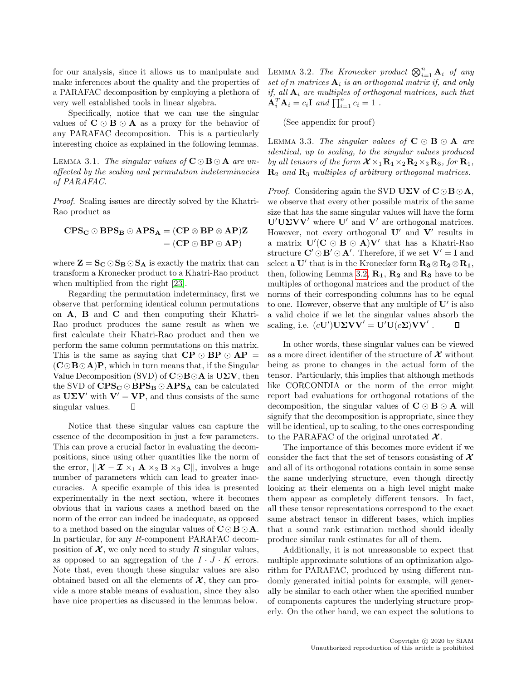for our analysis, since it allows us to manipulate and make inferences about the quality and the properties of a PARAFAC decomposition by employing a plethora of very well established tools in linear algebra.

Specifically, notice that we can use the singular values of  $C \odot B \odot A$  as a proxy for the behavior of any PARAFAC decomposition. This is a particularly interesting choice as explained in the following lemmas.

LEMMA 3.1. The singular values of  $C \odot B \odot A$  are unaffected by the scaling and permutation indeterminacies of PARAFAC.

Proof. Scaling issues are directly solved by the Khatri-Rao product as

$$
CPS_C \odot BPS_B \odot APS_A = (CP \otimes BP \otimes AP)Z
$$

$$
= (CP \odot BP \odot AP)
$$

where  $\mathbf{Z} = \mathbf{S_C} \odot \mathbf{S_B} \odot \mathbf{S_A}$  is exactly the matrix that can transform a Kronecker product to a Khatri-Rao product when multiplied from the right [\[23\]](#page-8-17).

Regarding the permutation indeterminacy, first we observe that performing identical column permutations on A, B and C and then computing their Khatri-Rao product produces the same result as when we first calculate their Khatri-Rao product and then we perform the same column permutations on this matrix. This is the same as saying that  $\mathbf{CP} \odot \mathbf{BP} \odot \mathbf{AP} =$  $(C \odot B \odot A)P$ , which in turn means that, if the Singular Value Decomposition (SVD) of  $\mathbf{C}\odot\mathbf{B}\odot\mathbf{A}$  is  $\mathbf{U}\Sigma\mathbf{V}$ , then the SVD of  $CPS_C \odot BPS_B \odot APS_A$  can be calculated as  $U\Sigma V'$  with  $V' = VP$ , and thus consists of the same singular values. Л

<span id="page-3-0"></span>Notice that these singular values can capture the essence of the decomposition in just a few parameters. This can prove a crucial factor in evaluating the decompositions, since using other quantities like the norm of the error,  $||\mathcal{X} - \mathcal{I} \times_1 \mathbf{A} \times_2 \mathbf{B} \times_3 \mathbf{C}||$ , involves a huge number of parameters which can lead to greater inaccuracies. A specific example of this idea is presented experimentally in the next section, where it becomes obvious that in various cases a method based on the norm of the error can indeed be inadequate, as opposed to a method based on the singular values of  $C \odot B \odot A$ . In particular, for any R-component PARAFAC decomposition of  $\mathcal{X}$ , we only need to study R singular values, as opposed to an aggregation of the  $I \cdot J \cdot K$  errors. Note that, even though these singular values are also obtained based on all the elements of  $\mathcal{X}$ , they can provide a more stable means of evaluation, since they also have nice properties as discussed in the lemmas below.

LEMMA 3.2. The Kronecker product  $\bigotimes_{i=1}^n \mathbf{A}_i$  of any set of n matrices  $A_i$  is an orthogonal matrix if, and only if, all  $A_i$  are multiples of orthogonal matrices, such that  $\mathbf{A}_i^T \mathbf{A}_i = c_i \mathbf{I}$  and  $\prod_{i=1}^n c_i = 1$ .

(See appendix for proof)

LEMMA 3.3. The singular values of  $C \odot B \odot A$  are identical, up to scaling, to the singular values produced by all tensors of the form  $\mathcal{X} \times_1 \mathbf{R}_1 \times_2 \mathbf{R}_2 \times_3 \mathbf{R}_3$ , for  $\mathbf{R}_1$ ,  $\mathbf{R}_2$  and  $\mathbf{R}_3$  multiples of arbitrary orthogonal matrices.

*Proof.* Considering again the SVD UZV of  $C \odot B \odot A$ , we observe that every other possible matrix of the same size that has the same singular values will have the form  $U'U\Sigma VV'$  where U' and V' are orthogonal matrices. However, not every orthogonal  $\mathbf{U}'$  and  $\mathbf{V}'$  results in a matrix  $\mathbf{U}'(\mathbf{C} \odot \mathbf{B} \odot \mathbf{A})\mathbf{V}'$  that has a Khatri-Rao structure  $\mathbf{C}' \odot \mathbf{B}' \odot \mathbf{A}'$ . Therefore, if we set  $\mathbf{V}' = \mathbf{I}$  and select a U' that is in the Kronecker form  $R_3 \otimes R_2 \otimes R_1$ , then, following Lemma [3.2,](#page-3-0)  $\mathbf{R}_1$ ,  $\mathbf{R}_2$  and  $\mathbf{R}_3$  have to be multiples of orthogonal matrices and the product of the norms of their corresponding columns has to be equal to one. However, observe that any multiple of  $\mathbf{U}'$  is also a valid choice if we let the singular values absorb the scaling, i.e.  $(c\mathbf{U}')\mathbf{U}\mathbf{\Sigma}\mathbf{V}\mathbf{V}' = \mathbf{U}'\mathbf{U}(c\mathbf{\Sigma})\mathbf{V}\mathbf{V}'$ .  $\Box$ 

In other words, these singular values can be viewed as a more direct identifier of the structure of  $\mathcal X$  without being as prone to changes in the actual form of the tensor. Particularly, this implies that although methods like CORCONDIA or the norm of the error might report bad evaluations for orthogonal rotations of the decomposition, the singular values of  $C \odot B \odot A$  will signify that the decomposition is appropriate, since they will be identical, up to scaling, to the ones corresponding to the PARAFAC of the original unrotated  $\mathcal{X}$ .

The importance of this becomes more evident if we consider the fact that the set of tensors consisting of  $\mathcal{X}$ and all of its orthogonal rotations contain in some sense the same underlying structure, even though directly looking at their elements on a high level might make them appear as completely different tensors. In fact, all these tensor representations correspond to the exact same abstract tensor in different bases, which implies that a sound rank estimation method should ideally produce similar rank estimates for all of them.

Additionally, it is not unreasonable to expect that multiple approximate solutions of an optimization algorithm for PARAFAC, produced by using different randomly generated initial points for example, will generally be similar to each other when the specified number of components captures the underlying structure properly. On the other hand, we can expect the solutions to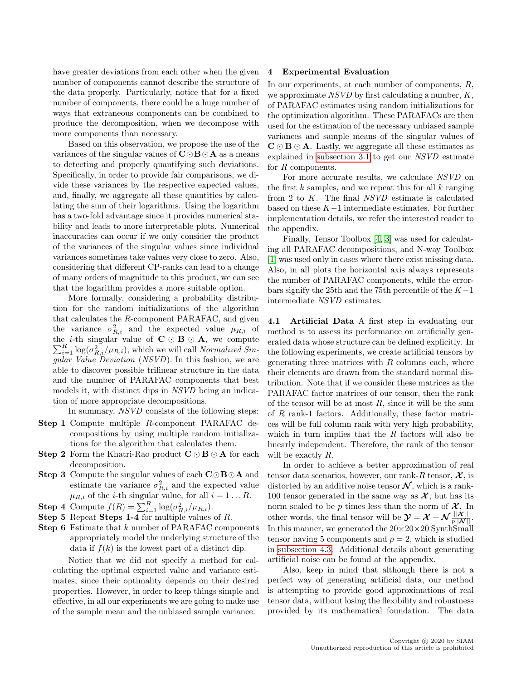have greater deviations from each other when the given number of components cannot describe the structure of the data properly. Particularly, notice that for a fixed number of components, there could be a huge number of ways that extraneous components can be combined to produce the decomposition, when we decompose with more components than necessary.

Based on this observation, we propose the use of the variances of the singular values of  $C \odot B \odot A$  as a means to detecting and properly quantifying such deviations. Specifically, in order to provide fair comparisons, we divide these variances by the respective expected values, and, finally, we aggregate all these quantities by calculating the sum of their logarithms. Using the logarithm has a two-fold advantage since it provides numerical stability and leads to more interpretable plots. Numerical inaccuracies can occur if we only consider the product of the variances of the singular values since individual variances sometimes take values very close to zero. Also, considering that different CP-ranks can lead to a change of many orders of magnitude to this product, we can see that the logarithm provides a more suitable option.

More formally, considering a probability distribution for the random initializations of the algorithm that calculates the R-component PARAFAC, and given the variance  $\sigma_{R,i}^2$  and the expected value  $\mu_{R,i}$  of  $\sum_{i=1}^{R} \log(\sigma_{R,i}^2/\mu_{R,i})$ , which we will call Normalized Sinthe *i*-th singular value of  $C \odot B \odot A$ , we compute gular Value Deviation (NSVD). In this fashion, we are able to discover possible trilinear structure in the data and the number of PARAFAC components that best models it, with distinct dips in NSVD being an indication of more appropriate decompositions.

In summary, NSVD consists of the following steps:

- Step 1 Compute multiple R-component PARAFAC decompositions by using multiple random initializations for the algorithm that calculates them.
- **Step 2** Form the Khatri-Rao product  $C \odot B \odot A$  for each decomposition.
- **Step 3** Compute the singular values of each  $C \odot B \odot A$  and estimate the variance  $\sigma_{R,i}^2$  and the expected value  $\mu_{R,i}$  of the *i*-th singular value, for all  $i = 1 \dots R$ .
- **Step 4** Compute  $f(R) = \sum_{i=1}^{R} \log(\sigma_{R,i}^2/\mu_{R,i}).$
- Step 5 Repeat Steps 1-4 for multiple values of R.
- Step 6 Estimate that k number of PARAFAC components appropriately model the underlying structure of the data if  $f(k)$  is the lowest part of a distinct dip.

Notice that we did not specify a method for calculating the optimal expected value and variance estimates, since their optimality depends on their desired properties. However, in order to keep things simple and effective, in all our experiments we are going to make use of the sample mean and the unbiased sample variance.

#### 4 Experimental Evaluation

In our experiments, at each number of components, R, we approximate  $NSVD$  by first calculating a number,  $K$ , of PARAFAC estimates using random initializations for the optimization algorithm. These PARAFACs are then used for the estimation of the necessary unbiased sample variances and sample means of the singular values of  $\mathbf{C} \odot \mathbf{B} \odot \mathbf{A}$ . Lastly, we aggregate all these estimates as explained in [subsection 3.1](#page-2-1) to get our NSVD estimate for R components.

For more accurate results, we calculate NSVD on the first  $k$  samples, and we repeat this for all  $k$  ranging from 2 to K. The final NSVD estimate is calculated based on these  $K-1$  intermediate estimates. For further implementation details, we refer the interested reader to the appendix.

Finally, Tensor Toolbox [\[4,](#page-8-18) [3\]](#page-8-19) was used for calculating all PARAFAC decompositions, and N-way Toolbox [\[1\]](#page-7-0) was used only in cases where there exist missing data. Also, in all plots the horizontal axis always represents the number of PARAFAC components, while the errorbars signify the 25th and the 75th percentile of the  $K-1$ intermediate NSVD estimates.

<span id="page-4-0"></span>4.1 Artificial Data A first step in evaluating our method is to assess its performance on artificially generated data whose structure can be defined explicitly. In the following experiments, we create artificial tensors by generating three matrices with  $R$  columns each, where their elements are drawn from the standard normal distribution. Note that if we consider these matrices as the PARAFAC factor matrices of our tensor, then the rank of the tensor will be at most  $R$ , since it will be the sum of R rank-1 factors. Additionally, these factor matrices will be full column rank with very high probability, which in turn implies that the  $R$  factors will also be linearly independent. Therefore, the rank of the tensor will be exactly R.

In order to achieve a better approximation of real tensor data scenarios, however, our rank-R tensor,  $\mathcal{X}$ , is distorted by an additive noise tensor  $\mathcal N$ , which is a rank-100 tensor generated in the same way as  $\mathcal{X}$ , but has its norm scaled to be  $p$  times less than the norm of  $\mathcal{X}$ . In other words, the final tensor will be  $\mathcal{Y} = \mathcal{X} + \mathcal{N} \frac{||\mathcal{X}||}{p||\mathcal{N}||}$ . In this manner, we generated the  $20 \times 20 \times 20$  SynthSmall tensor having 5 components and  $p = 2$ , which is studied in [subsection 4.3.](#page-5-0) Additional details about generating artificial noise can be found at the appendix.

Also, keep in mind that although there is not a perfect way of generating artificial data, our method is attempting to provide good approximations of real tensor data, without losing the flexibility and robustness provided by its mathematical foundation. The data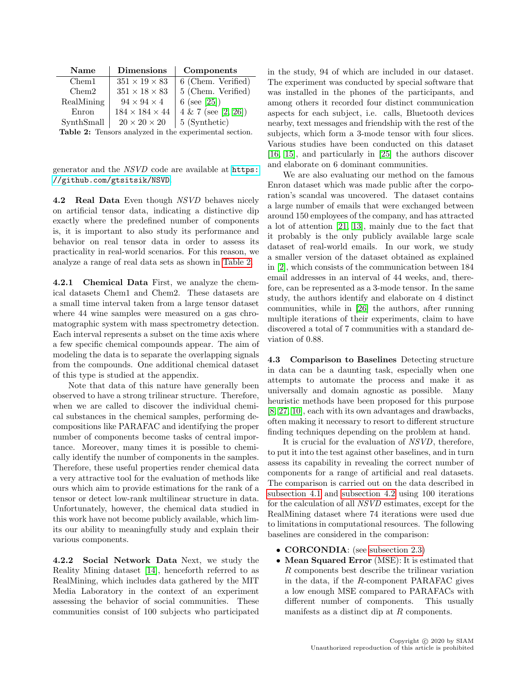<span id="page-5-1"></span>

| Name          | <b>Dimensions</b>          | Components            |
|---------------|----------------------------|-----------------------|
| Chem1         | $351 \times 19 \times 83$  | 6 (Chem. Verified)    |
| Chem2         | $351\times18\times83$      | 5 (Chem. Verified)    |
| RealMining    | $94 \times 94 \times 4$    | 6 (see [25])          |
| Enron         | $184 \times 184 \times 44$ | $4 & 7$ (see [2, 26]) |
| SynthSmall    | $20\times20\times20$       | 5 (Synthetic)         |
| $\sim$ $\sim$ |                            |                       |

Table 2: Tensors analyzed in the experimental section.

generator and the NSVD code are available at [https:](https://github.com/gtsitsik/NSVD) [//github.com/gtsitsik/NSVD](https://github.com/gtsitsik/NSVD).

<span id="page-5-2"></span>4.2 Real Data Even though NSVD behaves nicely on artificial tensor data, indicating a distinctive dip exactly where the predefined number of components is, it is important to also study its performance and behavior on real tensor data in order to assess its practicality in real-world scenarios. For this reason, we analyze a range of real data sets as shown in [Table 2.](#page-5-1)

4.2.1 Chemical Data First, we analyze the chemical datasets Chem1 and Chem2. These datasets are a small time interval taken from a large tensor dataset where 44 wine samples were measured on a gas chromatographic system with mass spectrometry detection. Each interval represents a subset on the time axis where a few specific chemical compounds appear. The aim of modeling the data is to separate the overlapping signals from the compounds. One additional chemical dataset of this type is studied at the appendix.

Note that data of this nature have generally been observed to have a strong trilinear structure. Therefore, when we are called to discover the individual chemical substances in the chemical samples, performing decompositions like PARAFAC and identifying the proper number of components become tasks of central importance. Moreover, many times it is possible to chemically identify the number of components in the samples. Therefore, these useful properties render chemical data a very attractive tool for the evaluation of methods like ours which aim to provide estimations for the rank of a tensor or detect low-rank multilinear structure in data. Unfortunately, however, the chemical data studied in this work have not become publicly available, which limits our ability to meaningfully study and explain their various components.

4.2.2 Social Network Data Next, we study the Reality Mining dataset [\[14\]](#page-8-23), henceforth referred to as RealMining, which includes data gathered by the MIT Media Laboratory in the context of an experiment assessing the behavior of social communities. These communities consist of 100 subjects who participated in the study, 94 of which are included in our dataset. The experiment was conducted by special software that was installed in the phones of the participants, and among others it recorded four distinct communication aspects for each subject, i.e. calls, Bluetooth devices nearby, text messages and friendship with the rest of the subjects, which form a 3-mode tensor with four slices. Various studies have been conducted on this dataset [\[16,](#page-8-24) [15\]](#page-8-25), and particularly in [\[25\]](#page-8-20) the authors discover and elaborate on 6 dominant communities.

We are also evaluating our method on the famous Enron dataset which was made public after the corporation's scandal was uncovered. The dataset contains a large number of emails that were exchanged between around 150 employees of the company, and has attracted a lot of attention [\[21,](#page-8-26) [13\]](#page-8-27), mainly due to the fact that it probably is the only publicly available large scale dataset of real-world emails. In our work, we study a smaller version of the dataset obtained as explained in [\[2\]](#page-8-21), which consists of the communication between 184 email addresses in an interval of 44 weeks, and, therefore, can be represented as a 3-mode tensor. In the same study, the authors identify and elaborate on 4 distinct communities, while in [\[26\]](#page-8-22) the authors, after running multiple iterations of their experiments, claim to have discovered a total of 7 communities with a standard deviation of 0.88.

<span id="page-5-0"></span>4.3 Comparison to Baselines Detecting structure in data can be a daunting task, especially when one attempts to automate the process and make it as universally and domain agnostic as possible. Many heuristic methods have been proposed for this purpose [\[8,](#page-8-11) [27,](#page-8-12) [10\]](#page-8-13), each with its own advantages and drawbacks, often making it necessary to resort to different structure finding techniques depending on the problem at hand.

It is crucial for the evaluation of NSVD, therefore, to put it into the test against other baselines, and in turn assess its capability in revealing the correct number of components for a range of artificial and real datasets. The comparison is carried out on the data described in [subsection 4.1](#page-4-0) and [subsection 4.2](#page-5-2) using 100 iterations for the calculation of all NSVD estimates, except for the RealMining dataset where 74 iterations were used due to limitations in computational resources. The following baselines are considered in the comparison:

- **CORCONDIA**: (see [subsection 2.3\)](#page-1-2)
- Mean Squared Error (MSE): It is estimated that R components best describe the trilinear variation in the data, if the R-component PARAFAC gives a low enough MSE compared to PARAFACs with different number of components. This usually manifests as a distinct dip at R components.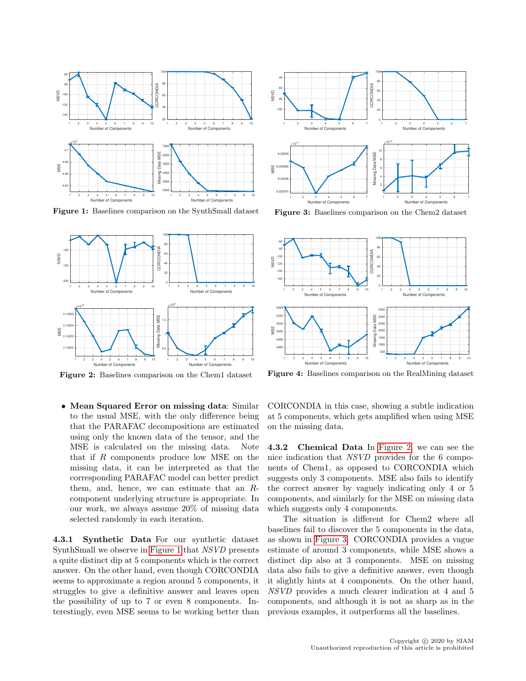<span id="page-6-0"></span>

Figure 1: Baselines comparison on the SynthSmall dataset

<span id="page-6-1"></span>

Figure 2: Baselines comparison on the Chem1 dataset

• Mean Squared Error on missing data: Similar to the usual MSE, with the only difference being that the PARAFAC decompositions are estimated using only the known data of the tensor, and the MSE is calculated on the missing data. Note that if R components produce low MSE on the missing data, it can be interpreted as that the corresponding PARAFAC model can better predict them, and, hence, we can estimate that an  $R$ component underlying structure is appropriate. In our work, we always assume 20% of missing data selected randomly in each iteration.

4.3.1 Synthetic Data For our synthetic dataset SynthSmall we observe in [Figure 1](#page-6-0) that NSVD presents a quite distinct dip at 5 components which is the correct answer. On the other hand, even though CORCONDIA seems to approximate a region around 5 components, it struggles to give a definitive answer and leaves open the possibility of up to 7 or even 8 components. Interestingly, even MSE seems to be working better than

<span id="page-6-2"></span>

Figure 3: Baselines comparison on the Chem2 dataset

<span id="page-6-3"></span>

Figure 4: Baselines comparison on the RealMining dataset

CORCONDIA in this case, showing a subtle indication at 5 components, which gets amplified when using MSE on the missing data.

4.3.2 Chemical Data In [Figure 2,](#page-6-1) we can see the nice indication that NSVD provides for the 6 components of Chem1, as opposed to CORCONDIA which suggests only 3 components. MSE also fails to identify the correct answer by vaguely indicating only 4 or 5 components, and similarly for the MSE on missing data which suggests only 4 components.

The situation is different for Chem2 where all baselines fail to discover the 5 components in the data, as shown in [Figure 3.](#page-6-2) CORCONDIA provides a vague estimate of around 3 components, while MSE shows a distinct dip also at 3 components. MSE on missing data also fails to give a definitive answer, even though it slightly hints at 4 components. On the other hand, NSVD provides a much clearer indication at 4 and 5 components, and although it is not as sharp as in the previous examples, it outperforms all the baselines.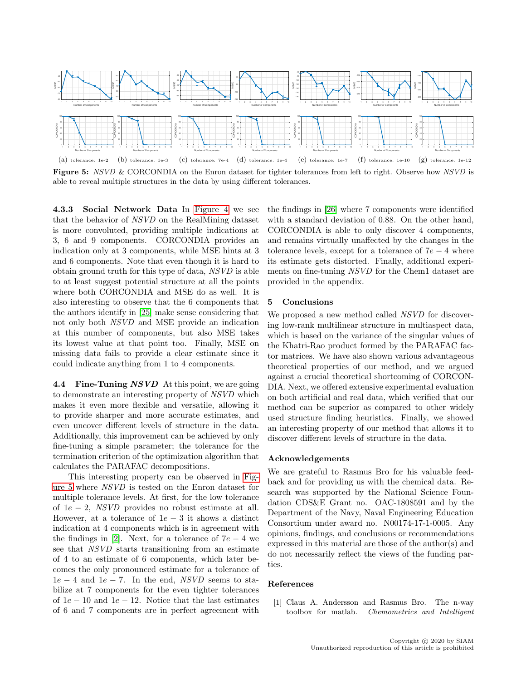<span id="page-7-1"></span>

Figure 5: NSVD & CORCONDIA on the Enron dataset for tighter tolerances from left to right. Observe how NSVD is able to reveal multiple structures in the data by using different tolerances.

4.3.3 Social Network Data In [Figure 4](#page-6-3) we see that the behavior of NSVD on the RealMining dataset is more convoluted, providing multiple indications at 3, 6 and 9 components. CORCONDIA provides an indication only at 3 components, while MSE hints at 3 and 6 components. Note that even though it is hard to obtain ground truth for this type of data, NSVD is able to at least suggest potential structure at all the points where both CORCONDIA and MSE do as well. It is also interesting to observe that the 6 components that the authors identify in [\[25\]](#page-8-20) make sense considering that not only both NSVD and MSE provide an indication at this number of components, but also MSE takes its lowest value at that point too. Finally, MSE on missing data fails to provide a clear estimate since it could indicate anything from 1 to 4 components.

4.4 Fine-Tuning NSVD At this point, we are going to demonstrate an interesting property of NSVD which makes it even more flexible and versatile, allowing it to provide sharper and more accurate estimates, and even uncover different levels of structure in the data. Additionally, this improvement can be achieved by only fine-tuning a simple parameter; the tolerance for the termination criterion of the optimization algorithm that calculates the PARAFAC decompositions.

This interesting property can be observed in [Fig](#page-7-1)[ure 5](#page-7-1) where NSVD is tested on the Enron dataset for multiple tolerance levels. At first, for the low tolerance of  $1e - 2$ , *NSVD* provides no robust estimate at all. However, at a tolerance of  $1e - 3$  it shows a distinct indication at 4 components which is in agreement with the findings in [\[2\]](#page-8-21). Next, for a tolerance of  $7e-4$  we see that NSVD starts transitioning from an estimate of 4 to an estimate of 6 components, which later becomes the only pronounced estimate for a tolerance of  $1e - 4$  and  $1e - 7$ . In the end, NSVD seems to stabilize at 7 components for the even tighter tolerances of  $1e - 10$  and  $1e - 12$ . Notice that the last estimates of 6 and 7 components are in perfect agreement with

the findings in [\[26\]](#page-8-22) where 7 components were identified with a standard deviation of 0.88. On the other hand, CORCONDIA is able to only discover 4 components, and remains virtually unaffected by the changes in the tolerance levels, except for a tolerance of  $7e - 4$  where its estimate gets distorted. Finally, additional experiments on fine-tuning NSVD for the Chem1 dataset are provided in the appendix.

# 5 Conclusions

We proposed a new method called NSVD for discovering low-rank multilinear structure in multiaspect data, which is based on the variance of the singular values of the Khatri-Rao product formed by the PARAFAC factor matrices. We have also shown various advantageous theoretical properties of our method, and we argued against a crucial theoretical shortcoming of CORCON-DIA. Next, we offered extensive experimental evaluation on both artificial and real data, which verified that our method can be superior as compared to other widely used structure finding heuristics. Finally, we showed an interesting property of our method that allows it to discover different levels of structure in the data.

#### Acknowledgements

We are grateful to Rasmus Bro for his valuable feedback and for providing us with the chemical data. Research was supported by the National Science Foundation CDS&E Grant no. OAC-1808591 and by the Department of the Navy, Naval Engineering Education Consortium under award no. N00174-17-1-0005. Any opinions, findings, and conclusions or recommendations expressed in this material are those of the author(s) and do not necessarily reflect the views of the funding parties.

#### References

<span id="page-7-0"></span>[1] Claus A. Andersson and Rasmus Bro. The n-way toolbox for matlab. Chemometrics and Intelligent